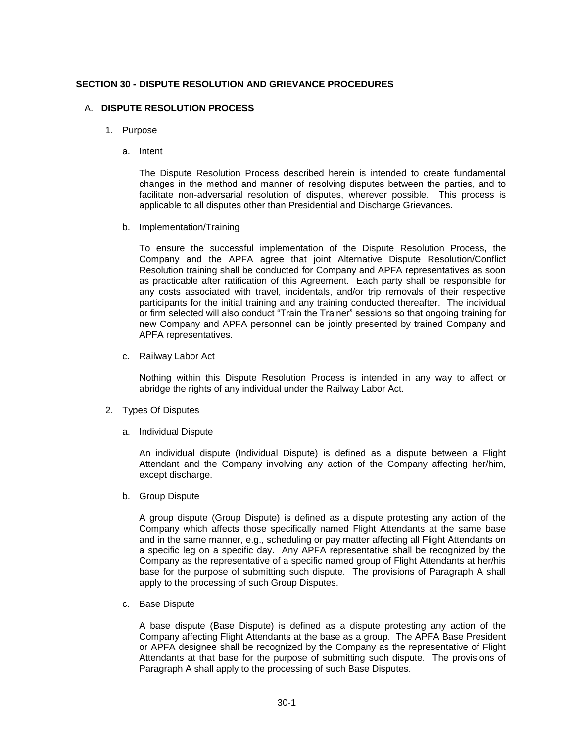## **SECTION 30 - DISPUTE RESOLUTION AND GRIEVANCE PROCEDURES**

## A. **DISPUTE RESOLUTION PROCESS**

- 1. Purpose
	- a. Intent

The Dispute Resolution Process described herein is intended to create fundamental changes in the method and manner of resolving disputes between the parties, and to facilitate non-adversarial resolution of disputes, wherever possible. This process is applicable to all disputes other than Presidential and Discharge Grievances.

b. Implementation/Training

To ensure the successful implementation of the Dispute Resolution Process, the Company and the APFA agree that joint Alternative Dispute Resolution/Conflict Resolution training shall be conducted for Company and APFA representatives as soon as practicable after ratification of this Agreement. Each party shall be responsible for any costs associated with travel, incidentals, and/or trip removals of their respective participants for the initial training and any training conducted thereafter. The individual or firm selected will also conduct "Train the Trainer" sessions so that ongoing training for new Company and APFA personnel can be jointly presented by trained Company and APFA representatives.

c. Railway Labor Act

Nothing within this Dispute Resolution Process is intended in any way to affect or abridge the rights of any individual under the Railway Labor Act.

- 2. Types Of Disputes
	- a. Individual Dispute

An individual dispute (Individual Dispute) is defined as a dispute between a Flight Attendant and the Company involving any action of the Company affecting her/him, except discharge.

b. Group Dispute

A group dispute (Group Dispute) is defined as a dispute protesting any action of the Company which affects those specifically named Flight Attendants at the same base and in the same manner, e.g., scheduling or pay matter affecting all Flight Attendants on a specific leg on a specific day. Any APFA representative shall be recognized by the Company as the representative of a specific named group of Flight Attendants at her/his base for the purpose of submitting such dispute. The provisions of Paragraph A shall apply to the processing of such Group Disputes.

c. Base Dispute

A base dispute (Base Dispute) is defined as a dispute protesting any action of the Company affecting Flight Attendants at the base as a group. The APFA Base President or APFA designee shall be recognized by the Company as the representative of Flight Attendants at that base for the purpose of submitting such dispute. The provisions of Paragraph A shall apply to the processing of such Base Disputes.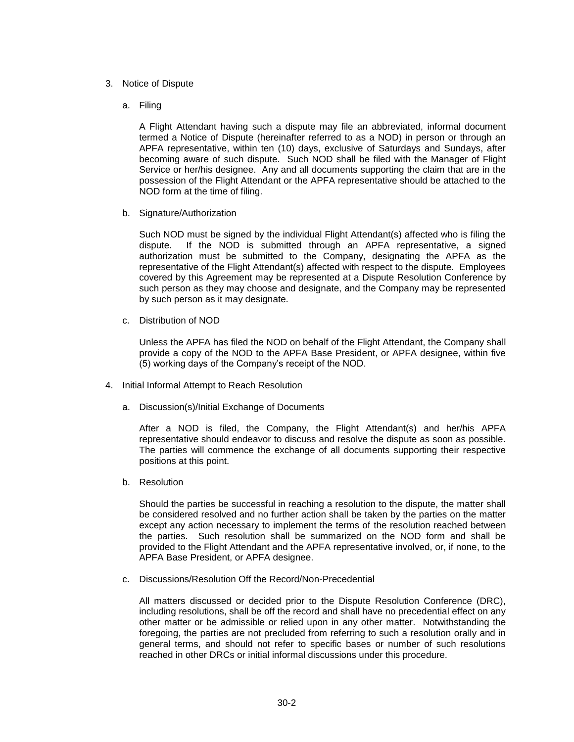## 3. Notice of Dispute

a. Filing

A Flight Attendant having such a dispute may file an abbreviated, informal document termed a Notice of Dispute (hereinafter referred to as a NOD) in person or through an APFA representative, within ten (10) days, exclusive of Saturdays and Sundays, after becoming aware of such dispute. Such NOD shall be filed with the Manager of Flight Service or her/his designee. Any and all documents supporting the claim that are in the possession of the Flight Attendant or the APFA representative should be attached to the NOD form at the time of filing.

b. Signature/Authorization

Such NOD must be signed by the individual Flight Attendant(s) affected who is filing the dispute. If the NOD is submitted through an APFA representative, a signed authorization must be submitted to the Company, designating the APFA as the representative of the Flight Attendant(s) affected with respect to the dispute. Employees covered by this Agreement may be represented at a Dispute Resolution Conference by such person as they may choose and designate, and the Company may be represented by such person as it may designate.

c. Distribution of NOD

Unless the APFA has filed the NOD on behalf of the Flight Attendant, the Company shall provide a copy of the NOD to the APFA Base President, or APFA designee, within five (5) working days of the Company's receipt of the NOD.

- 4. Initial Informal Attempt to Reach Resolution
	- a. Discussion(s)/Initial Exchange of Documents

After a NOD is filed, the Company, the Flight Attendant(s) and her/his APFA representative should endeavor to discuss and resolve the dispute as soon as possible. The parties will commence the exchange of all documents supporting their respective positions at this point.

b. Resolution

Should the parties be successful in reaching a resolution to the dispute, the matter shall be considered resolved and no further action shall be taken by the parties on the matter except any action necessary to implement the terms of the resolution reached between the parties. Such resolution shall be summarized on the NOD form and shall be provided to the Flight Attendant and the APFA representative involved, or, if none, to the APFA Base President, or APFA designee.

c. Discussions/Resolution Off the Record/Non-Precedential

All matters discussed or decided prior to the Dispute Resolution Conference (DRC), including resolutions, shall be off the record and shall have no precedential effect on any other matter or be admissible or relied upon in any other matter. Notwithstanding the foregoing, the parties are not precluded from referring to such a resolution orally and in general terms, and should not refer to specific bases or number of such resolutions reached in other DRCs or initial informal discussions under this procedure.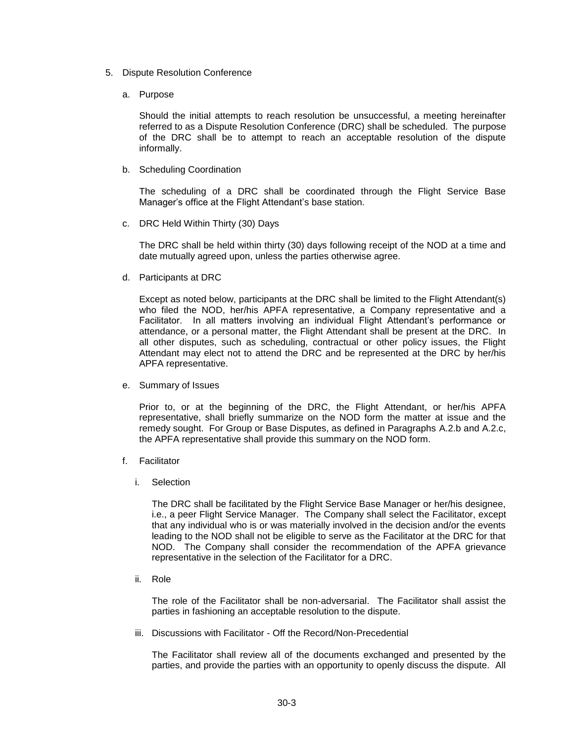- 5. Dispute Resolution Conference
	- a. Purpose

Should the initial attempts to reach resolution be unsuccessful, a meeting hereinafter referred to as a Dispute Resolution Conference (DRC) shall be scheduled. The purpose of the DRC shall be to attempt to reach an acceptable resolution of the dispute informally.

b. Scheduling Coordination

The scheduling of a DRC shall be coordinated through the Flight Service Base Manager's office at the Flight Attendant's base station.

c. DRC Held Within Thirty (30) Days

The DRC shall be held within thirty (30) days following receipt of the NOD at a time and date mutually agreed upon, unless the parties otherwise agree.

d. Participants at DRC

Except as noted below, participants at the DRC shall be limited to the Flight Attendant(s) who filed the NOD, her/his APFA representative, a Company representative and a Facilitator. In all matters involving an individual Flight Attendant's performance or attendance, or a personal matter, the Flight Attendant shall be present at the DRC. In all other disputes, such as scheduling, contractual or other policy issues, the Flight Attendant may elect not to attend the DRC and be represented at the DRC by her/his APFA representative.

e. Summary of Issues

Prior to, or at the beginning of the DRC, the Flight Attendant, or her/his APFA representative, shall briefly summarize on the NOD form the matter at issue and the remedy sought. For Group or Base Disputes, as defined in Paragraphs A.2.b and A.2.c, the APFA representative shall provide this summary on the NOD form.

- f. Facilitator
	- i. Selection

The DRC shall be facilitated by the Flight Service Base Manager or her/his designee, i.e., a peer Flight Service Manager. The Company shall select the Facilitator, except that any individual who is or was materially involved in the decision and/or the events leading to the NOD shall not be eligible to serve as the Facilitator at the DRC for that NOD. The Company shall consider the recommendation of the APFA grievance representative in the selection of the Facilitator for a DRC.

ii. Role

The role of the Facilitator shall be non-adversarial. The Facilitator shall assist the parties in fashioning an acceptable resolution to the dispute.

iii. Discussions with Facilitator - Off the Record/Non-Precedential

The Facilitator shall review all of the documents exchanged and presented by the parties, and provide the parties with an opportunity to openly discuss the dispute. All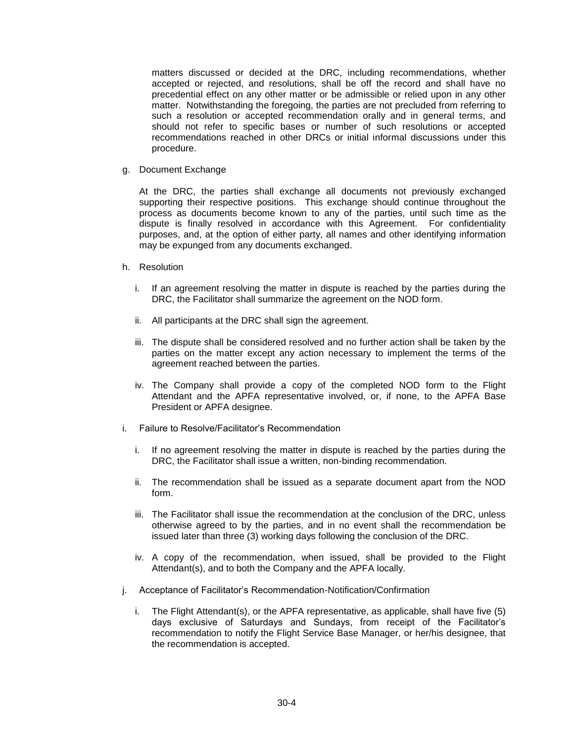matters discussed or decided at the DRC, including recommendations, whether accepted or rejected, and resolutions, shall be off the record and shall have no precedential effect on any other matter or be admissible or relied upon in any other matter. Notwithstanding the foregoing, the parties are not precluded from referring to such a resolution or accepted recommendation orally and in general terms, and should not refer to specific bases or number of such resolutions or accepted recommendations reached in other DRCs or initial informal discussions under this procedure.

g. Document Exchange

At the DRC, the parties shall exchange all documents not previously exchanged supporting their respective positions. This exchange should continue throughout the process as documents become known to any of the parties, until such time as the dispute is finally resolved in accordance with this Agreement. For confidentiality purposes, and, at the option of either party, all names and other identifying information may be expunged from any documents exchanged.

- h. Resolution
	- i. If an agreement resolving the matter in dispute is reached by the parties during the DRC, the Facilitator shall summarize the agreement on the NOD form.
	- ii. All participants at the DRC shall sign the agreement.
	- iii. The dispute shall be considered resolved and no further action shall be taken by the parties on the matter except any action necessary to implement the terms of the agreement reached between the parties.
	- iv. The Company shall provide a copy of the completed NOD form to the Flight Attendant and the APFA representative involved, or, if none, to the APFA Base President or APFA designee.
- i. Failure to Resolve/Facilitator's Recommendation
	- i. If no agreement resolving the matter in dispute is reached by the parties during the DRC, the Facilitator shall issue a written, non-binding recommendation.
	- ii. The recommendation shall be issued as a separate document apart from the NOD form.
	- iii. The Facilitator shall issue the recommendation at the conclusion of the DRC, unless otherwise agreed to by the parties, and in no event shall the recommendation be issued later than three (3) working days following the conclusion of the DRC.
	- iv. A copy of the recommendation, when issued, shall be provided to the Flight Attendant(s), and to both the Company and the APFA locally.
- j. Acceptance of Facilitator's Recommendation-Notification/Confirmation
	- i. The Flight Attendant(s), or the APFA representative, as applicable, shall have five (5) days exclusive of Saturdays and Sundays, from receipt of the Facilitator's recommendation to notify the Flight Service Base Manager, or her/his designee, that the recommendation is accepted.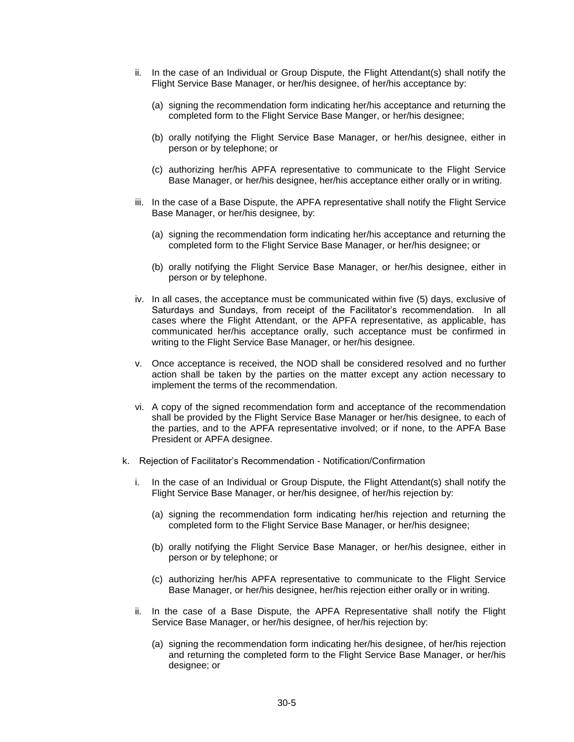- ii. In the case of an Individual or Group Dispute, the Flight Attendant(s) shall notify the Flight Service Base Manager, or her/his designee, of her/his acceptance by:
	- (a) signing the recommendation form indicating her/his acceptance and returning the completed form to the Flight Service Base Manger, or her/his designee;
	- (b) orally notifying the Flight Service Base Manager, or her/his designee, either in person or by telephone; or
	- (c) authorizing her/his APFA representative to communicate to the Flight Service Base Manager, or her/his designee, her/his acceptance either orally or in writing.
- iii. In the case of a Base Dispute, the APFA representative shall notify the Flight Service Base Manager, or her/his designee, by:
	- (a) signing the recommendation form indicating her/his acceptance and returning the completed form to the Flight Service Base Manager, or her/his designee; or
	- (b) orally notifying the Flight Service Base Manager, or her/his designee, either in person or by telephone.
- iv. In all cases, the acceptance must be communicated within five (5) days, exclusive of Saturdays and Sundays, from receipt of the Facilitator's recommendation. In all cases where the Flight Attendant, or the APFA representative, as applicable, has communicated her/his acceptance orally, such acceptance must be confirmed in writing to the Flight Service Base Manager, or her/his designee.
- v. Once acceptance is received, the NOD shall be considered resolved and no further action shall be taken by the parties on the matter except any action necessary to implement the terms of the recommendation.
- vi. A copy of the signed recommendation form and acceptance of the recommendation shall be provided by the Flight Service Base Manager or her/his designee, to each of the parties, and to the APFA representative involved; or if none, to the APFA Base President or APFA designee.
- k. Rejection of Facilitator's Recommendation Notification/Confirmation
	- i. In the case of an Individual or Group Dispute, the Flight Attendant(s) shall notify the Flight Service Base Manager, or her/his designee, of her/his rejection by:
		- (a) signing the recommendation form indicating her/his rejection and returning the completed form to the Flight Service Base Manager, or her/his designee;
		- (b) orally notifying the Flight Service Base Manager, or her/his designee, either in person or by telephone; or
		- (c) authorizing her/his APFA representative to communicate to the Flight Service Base Manager, or her/his designee, her/his rejection either orally or in writing.
	- ii. In the case of a Base Dispute, the APFA Representative shall notify the Flight Service Base Manager, or her/his designee, of her/his rejection by:
		- (a) signing the recommendation form indicating her/his designee, of her/his rejection and returning the completed form to the Flight Service Base Manager, or her/his designee; or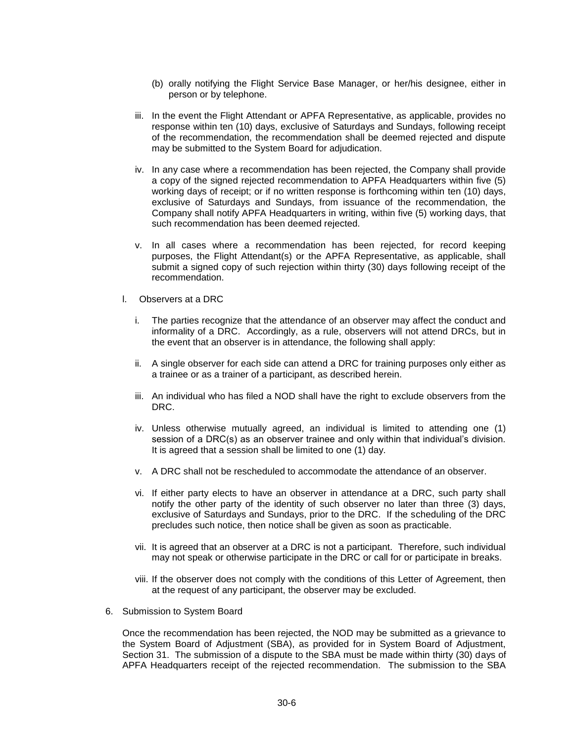- (b) orally notifying the Flight Service Base Manager, or her/his designee, either in person or by telephone.
- iii. In the event the Flight Attendant or APFA Representative, as applicable, provides no response within ten (10) days, exclusive of Saturdays and Sundays, following receipt of the recommendation, the recommendation shall be deemed rejected and dispute may be submitted to the System Board for adjudication.
- iv. In any case where a recommendation has been rejected, the Company shall provide a copy of the signed rejected recommendation to APFA Headquarters within five (5) working days of receipt; or if no written response is forthcoming within ten (10) days, exclusive of Saturdays and Sundays, from issuance of the recommendation, the Company shall notify APFA Headquarters in writing, within five (5) working days, that such recommendation has been deemed rejected.
- v. In all cases where a recommendation has been rejected, for record keeping purposes, the Flight Attendant(s) or the APFA Representative, as applicable, shall submit a signed copy of such rejection within thirty (30) days following receipt of the recommendation.
- l. Observers at a DRC
	- i. The parties recognize that the attendance of an observer may affect the conduct and informality of a DRC. Accordingly, as a rule, observers will not attend DRCs, but in the event that an observer is in attendance, the following shall apply:
	- ii. A single observer for each side can attend a DRC for training purposes only either as a trainee or as a trainer of a participant, as described herein.
	- iii. An individual who has filed a NOD shall have the right to exclude observers from the DRC.
	- iv. Unless otherwise mutually agreed, an individual is limited to attending one (1) session of a DRC(s) as an observer trainee and only within that individual's division. It is agreed that a session shall be limited to one (1) day.
	- v. A DRC shall not be rescheduled to accommodate the attendance of an observer.
	- vi. If either party elects to have an observer in attendance at a DRC, such party shall notify the other party of the identity of such observer no later than three (3) days, exclusive of Saturdays and Sundays, prior to the DRC. If the scheduling of the DRC precludes such notice, then notice shall be given as soon as practicable.
	- vii. It is agreed that an observer at a DRC is not a participant. Therefore, such individual may not speak or otherwise participate in the DRC or call for or participate in breaks.
	- viii. If the observer does not comply with the conditions of this Letter of Agreement, then at the request of any participant, the observer may be excluded.
- 6. Submission to System Board

Once the recommendation has been rejected, the NOD may be submitted as a grievance to the System Board of Adjustment (SBA), as provided for in System Board of Adjustment, Section 31. The submission of a dispute to the SBA must be made within thirty (30) days of APFA Headquarters receipt of the rejected recommendation. The submission to the SBA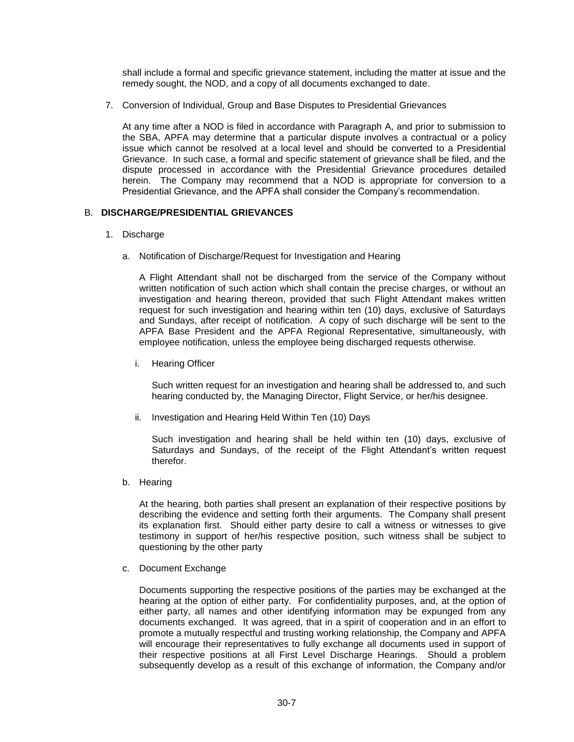shall include a formal and specific grievance statement, including the matter at issue and the remedy sought, the NOD, and a copy of all documents exchanged to date.

7. Conversion of Individual, Group and Base Disputes to Presidential Grievances

At any time after a NOD is filed in accordance with Paragraph A, and prior to submission to the SBA, APFA may determine that a particular dispute involves a contractual or a policy issue which cannot be resolved at a local level and should be converted to a Presidential Grievance. In such case, a formal and specific statement of grievance shall be filed, and the dispute processed in accordance with the Presidential Grievance procedures detailed herein. The Company may recommend that a NOD is appropriate for conversion to a Presidential Grievance, and the APFA shall consider the Company's recommendation.

# B. **DISCHARGE/PRESIDENTIAL GRIEVANCES**

- 1. Discharge
	- a. Notification of Discharge/Request for Investigation and Hearing

A Flight Attendant shall not be discharged from the service of the Company without written notification of such action which shall contain the precise charges, or without an investigation and hearing thereon, provided that such Flight Attendant makes written request for such investigation and hearing within ten (10) days, exclusive of Saturdays and Sundays, after receipt of notification. A copy of such discharge will be sent to the APFA Base President and the APFA Regional Representative, simultaneously, with employee notification, unless the employee being discharged requests otherwise.

i. Hearing Officer

Such written request for an investigation and hearing shall be addressed to, and such hearing conducted by, the Managing Director, Flight Service, or her/his designee.

ii. Investigation and Hearing Held Within Ten (10) Days

Such investigation and hearing shall be held within ten (10) days, exclusive of Saturdays and Sundays, of the receipt of the Flight Attendant's written request therefor.

b. Hearing

At the hearing, both parties shall present an explanation of their respective positions by describing the evidence and setting forth their arguments. The Company shall present its explanation first. Should either party desire to call a witness or witnesses to give testimony in support of her/his respective position, such witness shall be subject to questioning by the other party

c. Document Exchange

Documents supporting the respective positions of the parties may be exchanged at the hearing at the option of either party. For confidentiality purposes, and, at the option of either party, all names and other identifying information may be expunged from any documents exchanged. It was agreed, that in a spirit of cooperation and in an effort to promote a mutually respectful and trusting working relationship, the Company and APFA will encourage their representatives to fully exchange all documents used in support of their respective positions at all First Level Discharge Hearings. Should a problem subsequently develop as a result of this exchange of information, the Company and/or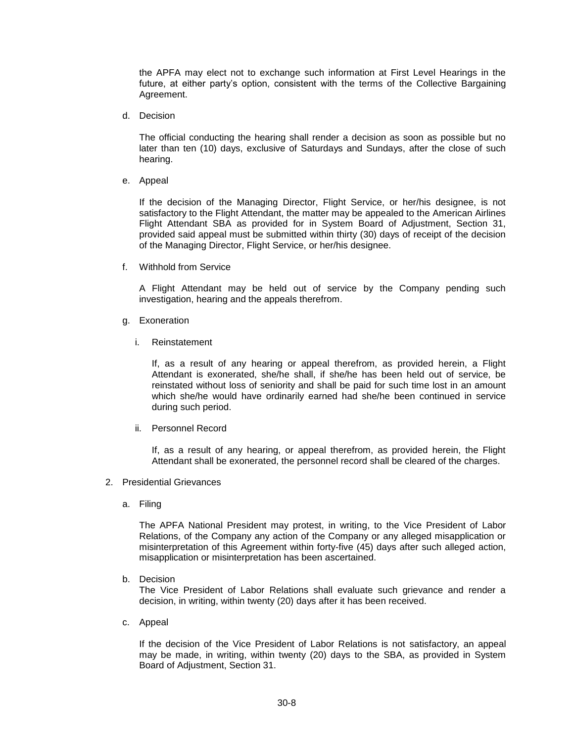the APFA may elect not to exchange such information at First Level Hearings in the future, at either party's option, consistent with the terms of the Collective Bargaining Agreement.

d. Decision

The official conducting the hearing shall render a decision as soon as possible but no later than ten (10) days, exclusive of Saturdays and Sundays, after the close of such hearing.

e. Appeal

If the decision of the Managing Director, Flight Service, or her/his designee, is not satisfactory to the Flight Attendant, the matter may be appealed to the American Airlines Flight Attendant SBA as provided for in System Board of Adjustment, Section 31, provided said appeal must be submitted within thirty (30) days of receipt of the decision of the Managing Director, Flight Service, or her/his designee.

f. Withhold from Service

A Flight Attendant may be held out of service by the Company pending such investigation, hearing and the appeals therefrom.

- g. Exoneration
	- i. Reinstatement

If, as a result of any hearing or appeal therefrom, as provided herein, a Flight Attendant is exonerated, she/he shall, if she/he has been held out of service, be reinstated without loss of seniority and shall be paid for such time lost in an amount which she/he would have ordinarily earned had she/he been continued in service during such period.

ii. Personnel Record

If, as a result of any hearing, or appeal therefrom, as provided herein, the Flight Attendant shall be exonerated, the personnel record shall be cleared of the charges.

- 2. Presidential Grievances
	- a. Filing

The APFA National President may protest, in writing, to the Vice President of Labor Relations, of the Company any action of the Company or any alleged misapplication or misinterpretation of this Agreement within forty-five (45) days after such alleged action, misapplication or misinterpretation has been ascertained.

b. Decision

The Vice President of Labor Relations shall evaluate such grievance and render a decision, in writing, within twenty (20) days after it has been received.

c. Appeal

If the decision of the Vice President of Labor Relations is not satisfactory, an appeal may be made, in writing, within twenty (20) days to the SBA, as provided in System Board of Adjustment, Section 31.